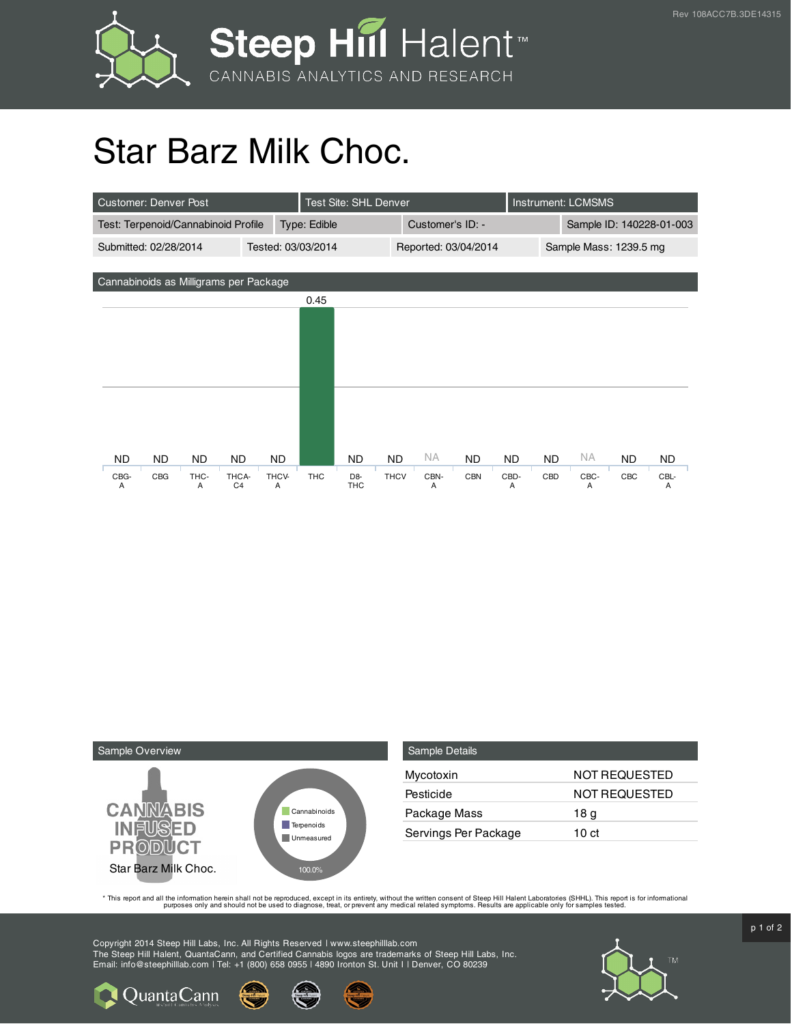

## Star Barz Milk Choc.

| <b>Customer: Denver Post</b>           |     |      |                |                    |            | Test Site: SHL Denver |                      |           |            |                        | <b>Instrument: LCMSMS</b> |           |     |      |
|----------------------------------------|-----|------|----------------|--------------------|------------|-----------------------|----------------------|-----------|------------|------------------------|---------------------------|-----------|-----|------|
| Test: Terpenoid/Cannabinoid Profile    |     |      |                | Type: Edible       |            |                       | Customer's ID: -     |           |            |                        | Sample ID: 140228-01-003  |           |     |      |
| Submitted: 02/28/2014                  |     |      |                | Tested: 03/03/2014 |            |                       | Reported: 03/04/2014 |           |            | Sample Mass: 1239.5 mg |                           |           |     |      |
|                                        |     |      |                |                    |            |                       |                      |           |            |                        |                           |           |     |      |
| Cannabinoids as Milligrams per Package |     |      |                |                    |            |                       |                      |           |            |                        |                           |           |     |      |
|                                        |     |      |                |                    | 0.45       |                       |                      |           |            |                        |                           |           |     |      |
|                                        |     |      |                |                    |            |                       |                      |           |            |                        |                           |           |     |      |
|                                        |     |      |                |                    |            |                       |                      |           |            |                        |                           |           |     |      |
|                                        |     |      |                |                    |            |                       |                      |           |            |                        |                           |           |     |      |
|                                        |     |      |                |                    |            |                       |                      |           |            |                        |                           |           |     |      |
|                                        |     |      |                |                    |            |                       |                      |           |            |                        |                           |           |     |      |
|                                        |     |      |                |                    |            |                       |                      |           |            |                        |                           |           |     |      |
|                                        |     |      |                |                    |            |                       |                      |           |            |                        |                           |           |     |      |
| ND.                                    | ND. | ND.  | ND             | ND                 |            | ND                    | <b>ND</b>            | <b>NA</b> | <b>ND</b>  | <b>ND</b>              | <b>ND</b>                 | <b>NA</b> | ND. | ND.  |
| CBG-                                   | CBG | THC- | THCA-          | THCV-              | <b>THC</b> | D <sub>8</sub>        | <b>THCV</b>          | CBN-      | <b>CBN</b> | CBD-                   | CBD                       | CBC-      | CBC | CBL- |
| A                                      |     | A    | C <sub>4</sub> | A                  |            | <b>THC</b>            |                      | A         |            | A                      |                           | A         |     | A    |



**Q** Quanta Cann

| <b>Sample Details</b> |               |
|-----------------------|---------------|
| Mycotoxin             | NOT REQUESTED |
| Pesticide             | NOT REQUESTED |
| Package Mass          | 18 g          |
| Servings Per Package  | 10 ct         |

This report and all the information herein shall not be reporduced, except in its entirety, without the written consent of Steep Hill Halent Laboratories (SHHL). This report is for informational all the instance, treat, or

Copyright 2014 Steep Hill Labs, Inc. All Rights Reserved | www.steephilllab.com The Steep Hill Halent, QuantaCann, and Certified Cannabis logos are trademarks of Steep Hill Labs, Inc. Email: info@steephilllab.com | Tel: +1 (800) 658 0955 | 4890 Ironton St. Unit I | Denver, CO 80239



 $p$  1 of 2